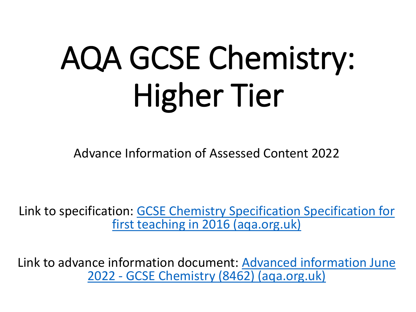# AQA GCSE Chemistry: Higher Tier

Advance Information of Assessed Content 2022

Link to specifica[tion: GCSE Chemistry Specification Specification](https://filestore.aqa.org.uk/resources/chemistry/specifications/AQA-8462-SP-2016.PDF) for first teaching in 2016 (aqa.org.uk)

Link to adva[nce information document: Advanced information June](https://filestore.aqa.org.uk/content/summer-2022/AQA-8462-AI-22.PDF) 2022 - GCSE Chemistry (8462) (aqa.org.uk)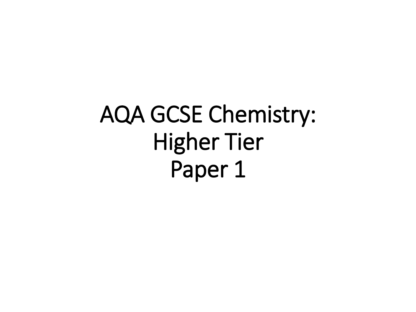AQA GCSE Chemistry: Higher Tier Paper 1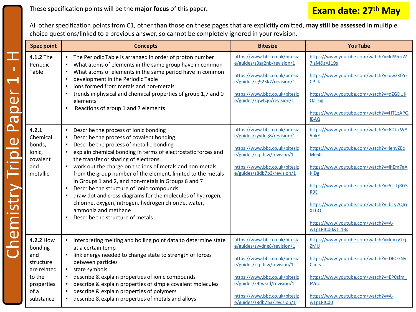These specification points will be the **major focus** of this paper.

### **Exam date: 27th May**

All other specification points from C1, other than those on these pages that are explicitly omitted, **may still be assessed** in multiple choice questions/linked to a previous answer, so cannot be completely ignored in your revision.

|                                          | <b>Spec point</b>                                                                                    | <b>Concepts</b>                                                                                                                                                                                                                                                                                                                                                                                                                                                                                                                                                                                                                                                                                              | <b>Bitesize</b>                                                                                                                                                                                                                                              | YouTube                                                                                                                                                                                                                                                                                                                                   |
|------------------------------------------|------------------------------------------------------------------------------------------------------|--------------------------------------------------------------------------------------------------------------------------------------------------------------------------------------------------------------------------------------------------------------------------------------------------------------------------------------------------------------------------------------------------------------------------------------------------------------------------------------------------------------------------------------------------------------------------------------------------------------------------------------------------------------------------------------------------------------|--------------------------------------------------------------------------------------------------------------------------------------------------------------------------------------------------------------------------------------------------------------|-------------------------------------------------------------------------------------------------------------------------------------------------------------------------------------------------------------------------------------------------------------------------------------------------------------------------------------------|
| $\frac{1}{2}$<br>$\overline{\mathbf{C}}$ | 4.1.2 The<br>Periodic<br>Table                                                                       | The Periodic Table is arranged in order of proton number<br>What atoms of elements in the same group have in common<br>What atoms of elements in the same period have in common<br>development in the Periodic Table<br>ions formed from metals and non-metals<br>trends in physical and chemical properties of group 1,7 and 0<br>elements<br>Reactions of group 1 and 7 elements<br>$\bullet$                                                                                                                                                                                                                                                                                                              | https://www.bbc.co.uk/bitesiz<br>e/guides/z3sg2nb/revision/1<br>https://www.bbc.co.uk/bitesiz<br>e/guides/zg923k7/revision/1<br>https://www.bbc.co.uk/bitesiz<br>e/guides/zqwtcj6/revision/1                                                                 | https://www.youtube.com/watch?v=IdS9roW<br>71zM&t=119s<br>https://www.youtube.com/watch?v=uwzXfZo<br>CP k<br>https://www.youtube.com/watch?v=dZGDUK<br>Qa 6g<br>https://www.youtube.com/watch?v=HT1zAPQ<br><b>IBAQ</b>                                                                                                                    |
| <u>വ</u><br>$\overline{a}$               | 4.2.1<br>Chemical<br>bonds,<br>ionic,<br>covalent<br>and<br>metallic                                 | Describe the process of ionic bonding<br>$\bullet$<br>Describe the process of covalent bonding<br>$\bullet$<br>Describe the process of metallic bonding<br>$\bullet$<br>explain chemical bonding in terms of electrostatic forces and<br>the transfer or sharing of electrons.<br>work out the charge on the ions of metals and non-metals<br>from the group number of the element, limited to the metals<br>in Groups 1 and 2, and non-metals in Groups 6 and 7<br>Describe the structure of ionic compounds<br>$\bullet$<br>draw dot and cross diagrams for the molecules of hydrogen,<br>chlorine, oxygen, nitrogen, hydrogen chloride, water,<br>ammonia and methane<br>Describe the structure of metals | https://www.bbc.co.uk/bitesiz<br>e/guides/zyydng8/revision/1<br>https://www.bbc.co.uk/bitesiz<br>e/guides/zcpjfcw/revision/1<br>https://www.bbc.co.uk/bitesiz<br>e/guides/z8db7p3/revision/1                                                                 | https://www.youtube.com/watch?v=6DtrrWA<br><b>5nkE</b><br>https://www.youtube.com/watch?v=lenvZEc<br><b>Mc60</b><br>https://www.youtube.com/watch?v=lhEm7aA<br><b>KIDg</b><br>https://www.youtube.com/watch?v=5I_1jRGS<br>R9E<br>https://www.youtube.com/watch?v=b1y2Q6Y<br>X1bQ<br>https://www.youtube.com/watch?v=A-<br>wTpLPICd0&t=13s |
| $\underline{\mathbf{\overline{\omega}}}$ | 4.2.2 How<br>bonding<br>and<br>structure<br>are related<br>to the<br>properties<br>of a<br>substance | interpreting melting and boiling point data to determine state<br>at a certain temp<br>link energy needed to change state to strength of forces<br>between particles<br>state symbols<br>$\bullet$<br>describe & explain properties of ionic compounds<br>describe & explain properties of simple covalent molecules<br>$\bullet$<br>describe & explain properties of polymers<br>describe & explain properties of metals and alloys                                                                                                                                                                                                                                                                         | https://www.bbc.co.uk/bitesiz<br>e/guides/zyydng8/revision/1<br>https://www.bbc.co.uk/bitesiz<br>e/guides/zcpjfcw/revision/1<br>https://www.bbc.co.uk/bitesiz<br>e/guides/z9twsrd/revision/1<br>https://www.bbc.co.uk/bitesiz<br>e/guides/z8db7p3/revision/1 | https://www.youtube.com/watch?v=leVxy7cj<br>ZMU<br>https://www.youtube.com/watch?v=DECGNy<br>$C - x$ s<br>https://www.youtube.com/watch?v=EP0zfm<br><b>FVgc</b><br>https://www.youtube.com/watch?v=A-<br>wTpLPICd0                                                                                                                        |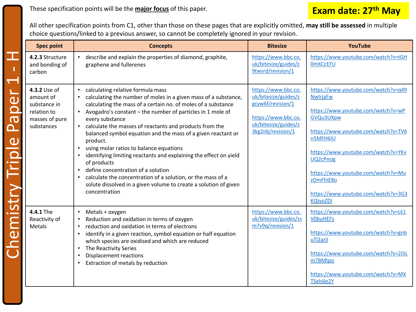All other specification points from C1, other than those on these pages that are explicitly omitted, **may still be assessed** in multiple choice questions/linked to a previous answer, so cannot be completely ignored in your revision.

| <b>Spec point</b>                                                                        | <b>Concepts</b>                                                                                                                                                                                                                                                                                                                                                                                                                                                                                                                                                                                                                                                                                                                                                              | <b>Bitesize</b>                                                                                                                      | YouTube                                                                                                                                                                                                                                                                                                                      |
|------------------------------------------------------------------------------------------|------------------------------------------------------------------------------------------------------------------------------------------------------------------------------------------------------------------------------------------------------------------------------------------------------------------------------------------------------------------------------------------------------------------------------------------------------------------------------------------------------------------------------------------------------------------------------------------------------------------------------------------------------------------------------------------------------------------------------------------------------------------------------|--------------------------------------------------------------------------------------------------------------------------------------|------------------------------------------------------------------------------------------------------------------------------------------------------------------------------------------------------------------------------------------------------------------------------------------------------------------------------|
| 4.2.3 Structure<br>and bonding of<br>carbon                                              | describe and explain the properties of diamond, graphite,<br>$\bullet$<br>graphene and fullerenes                                                                                                                                                                                                                                                                                                                                                                                                                                                                                                                                                                                                                                                                            | https://www.bbc.co.<br>uk/bitesize/guides/z<br>9twsrd/revision/1                                                                     | https://www.youtube.com/watch?v=tGH<br><b>OmXCcEFU</b>                                                                                                                                                                                                                                                                       |
| 4.3.2 Use of<br>amount of<br>substance in<br>relation to<br>masses of pure<br>substances | • calculating relative formula mass<br>calculating the number of moles in a given mass of a substance,<br>$\bullet$<br>calculating the mass of a certain no. of moles of a substance<br>Avogadro's constant - the number of particles in 1 mole of<br>every substance<br>calculate the masses of reactants and products from the<br>$\bullet$<br>balanced symbol equation and the mass of a given reactant or<br>product.<br>using molar ratios to balance equations<br>$\bullet$<br>identifying limiting reactants and explaining the effect on yield<br>of products<br>define concentration of a solution<br>calculate the concentration of a solution, or the mass of a<br>$\bullet$<br>solute dissolved in a given volume to create a solution of given<br>concentration | https://www.bbc.co.<br>uk/bitesize/guides/z<br>gcyw6f/revision/1<br>https://www.bbc.co.<br>uk/bitesize/guides/z<br>3kg2nb/revision/1 | https://www.youtube.com/watch?v=q49<br><b>NwlrjaFw</b><br>https://www.youtube.com/watch?v=wP<br>GVQu3UXpw<br>https://www.youtube.com/watch?v=TV6<br>n5MFH6IU<br>https://www.youtube.com/watch?v=YKv<br>UQ2cPmJg<br>https://www.youtube.com/watch?v=Mu<br>zOmFhiE80<br>https://www.youtube.com/watch?v=3G3<br><b>KQIyoZDI</b> |
| 4.4.1 The<br>Reactivity of<br>Metals                                                     | Metals + oxygen<br>Reduction and oxidation in terms of oxygen<br>reduction and oxidation in terms of electrons<br>identify in a given reaction, symbol equation or half equation<br>which species are oxidised and which are reduced<br>The Reactivity Series<br>$\bullet$<br>Displacement reactions<br>$\bullet$<br>Extraction of metals by reduction                                                                                                                                                                                                                                                                                                                                                                                                                       | https://www.bbc.co.<br>uk/bitesize/guides/zs<br>m7v9q/revision/1                                                                     | https://www.youtube.com/watch?v=Lk1<br><b>VObuHEFS</b><br>https://www.youtube.com/watch?v=gnb<br>uTl2aril<br>https://www.youtube.com/watch?v=2i5L<br>m7BMtpo<br>https://www.youtube.com/watch?v=MX<br>TSels6e2Y                                                                                                              |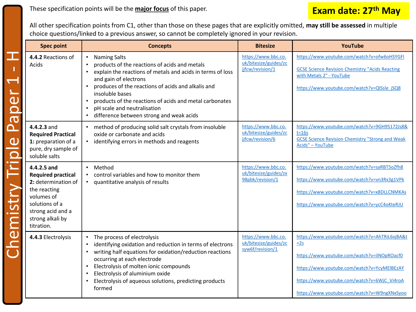These specification points will be the **major focus** of this paper.

### **Exam date: 27th May**

All other specification points from C1, other than those on these pages that are explicitly omitted, **may still be assessed** in multiple choice questions/linked to a previous answer, so cannot be completely ignored in your revision.

| <b>Spec point</b>                                                                                                                                                      | <b>Concepts</b>                                                                                                                                                                                                                                                                                                                                                                                                                | <b>Bitesize</b>                                                  | <b>YouTube</b>                                                                                                                                                                                                                                     |
|------------------------------------------------------------------------------------------------------------------------------------------------------------------------|--------------------------------------------------------------------------------------------------------------------------------------------------------------------------------------------------------------------------------------------------------------------------------------------------------------------------------------------------------------------------------------------------------------------------------|------------------------------------------------------------------|----------------------------------------------------------------------------------------------------------------------------------------------------------------------------------------------------------------------------------------------------|
| 4.4.2 Reactions of<br>Acids<br>$\overline{\mathbf{e}}$<br><b>DO</b>                                                                                                    | <b>Naming Salts</b><br>products of the reactions of acids and metals<br>explain the reactions of metals and acids in terms of loss<br>$\bullet$<br>and gain of electrons<br>produces of the reactions of acids and alkalis and<br>$\bullet$<br>insoluble bases<br>products of the reactions of acids and metal carbonates<br>$\bullet$<br>pH scale and neutralisation<br>$\bullet$<br>difference between strong and weak acids | https://www.bbc.co.<br>uk/bitesize/guides/zc<br>jjfcw/revision/1 | https://www.youtube.com/watch?v=ofw6oHSYGFI<br><b>GCSE Science Revision Chemistry "Acids Reacting</b><br>with Metals 2" - YouTube<br>https://www.youtube.com/watch?v=QlSsle jSQ8                                                                   |
| 4.4.2.3 and<br><b>Required Practical</b><br>C<br>1: preparation of a<br>pure, dry sample of<br><b>Temistry Trip</b><br>soluble salts                                   | • method of producing solid salt crystals from insoluble<br>oxide or carbonate and acids<br>identifying errors in methods and reagents                                                                                                                                                                                                                                                                                         | https://www.bbc.co.<br>uk/bitesize/guides/zc<br>jjfcw/revision/6 | https://www.youtube.com/watch?v=9GH95172Js8&<br>$t=16s$<br><b>GCSE Science Revision Chemistry "Strong and Weak</b><br>Acids" - YouTube                                                                                                             |
| 4.4.2.5 and<br><b>Required practical</b><br>2: determination of<br>the reacting<br>volumes of<br>solutions of a<br>strong acid and a<br>strong alkali by<br>titration. | Method<br>control variables and how to monitor them<br>quantitative analysis of results                                                                                                                                                                                                                                                                                                                                        | https://www.bbc.co.<br>uk/bitesize/guides/zx<br>98pbk/revision/1 | https://www.youtube.com/watch?v=saRBT5oZfh8<br>https://www.youtube.com/watch?v=vn3Rx3g1VPk<br>https://www.youtube.com/watch?v=x8DLLCNMKAs<br>https://www.youtube.com/watch?v=ycC4oKteRJU                                                           |
| 4.4.3 Electrolysis                                                                                                                                                     | The process of electrolysis<br>identifying oxidation and reduction in terms of electrons<br>writing half equations for oxidation/reduction reactions<br>occurring at each electrode<br>Electrolysis of molten ionic compounds<br>$\bullet$<br>Electrolysis of aluminium oxide<br>$\bullet$<br>Electrolysis of aqueous solutions, predicting products<br>formed                                                                 | https://www.bbc.co.<br>uk/bitesize/guides/zc<br>syw6f/revision/1 | https://www.youtube.com/watch?v=AhTRiL6xjBA&t<br>$=2s$<br>https://www.youtube.com/watch?v=ilNOpROacf0<br>https://www.youtube.com/watch?v=YcyMEIBEzAY<br>https://www.youtube.com/watch?v=6WjC_Vi4roA<br>https://www.youtube.com/watch?v=W9ngXNxSyoo |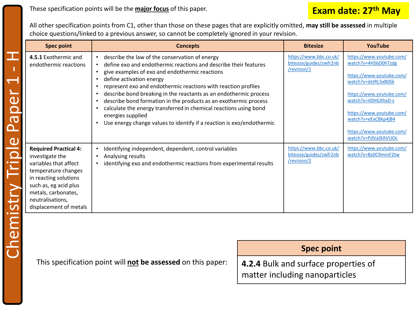### **Exam date: 27th May**

All other specification points from C1, other than those on these pages that are explicitly omitted, **may still be assessed** in multiple choice questions/linked to a previous answer, so cannot be completely ignored in your revision.

| <b>Spec point</b>                                                                                                                                                                                                      | <b>Concepts</b>                                                                                                                                                                                                                                                                                                                                                                                                                                                                                                                                                                                                       | <b>Bitesize</b>                                                  | YouTube                                                                                                                                                                                                                                                     |
|------------------------------------------------------------------------------------------------------------------------------------------------------------------------------------------------------------------------|-----------------------------------------------------------------------------------------------------------------------------------------------------------------------------------------------------------------------------------------------------------------------------------------------------------------------------------------------------------------------------------------------------------------------------------------------------------------------------------------------------------------------------------------------------------------------------------------------------------------------|------------------------------------------------------------------|-------------------------------------------------------------------------------------------------------------------------------------------------------------------------------------------------------------------------------------------------------------|
| 4.5.1 Exothermic and<br>endothermic reactions                                                                                                                                                                          | describe the law of the conservation of energy<br>define exo and endothermic reactions and describe their features<br>give examples of exo and endothermic reactions<br>define activation energy<br>represent exo and endothermic reactions with reaction profiles<br>$\bullet$<br>describe bond breaking in the reactants as an endothermic process<br>describe bond formation in the products as an exothermic process<br>$\bullet$<br>calculate the energy transferred in chemical reactions using bond<br>$\bullet$<br>energies supplied<br>Use energy change values to identify if a reaction is exo/endothermic | https://www.bbc.co.uk/<br>bitesize/guides/zwfr2nb<br>/revision/1 | https://www.youtube.com/<br>watch?v=4HS6D0hTzdg<br>https://www.youtube.com/<br>watch?v=dstRL5xB0Sk<br>https://www.youtube.com/<br>watch?v=it0HGXhxD-s<br>https://www.youtube.com/<br>watch?v=eExCBkp4jB4<br>https://www.youtube.com/<br>watch?v=PdValXAVUOc |
| <b>Required Practical 4:</b><br>investigate the<br>variables that affect<br>temperature changes<br>in reacting solutions<br>such as, eg acid plus<br>metals, carbonates,<br>neutralisations,<br>displacement of metals | Identifying independent, dependent, control variables<br>Analysing results<br>identifying exo and endothermic reactions from experimental results                                                                                                                                                                                                                                                                                                                                                                                                                                                                     | https://www.bbc.co.uk/<br>bitesize/guides/zwfr2nb<br>/revision/2 | https://www.youtube.com/<br>watch?v=Bz0C9mmF2tw                                                                                                                                                                                                             |

This specification point will **not be assessed** on this paper:

| <b>Spec point</b>                    |
|--------------------------------------|
| 4.2.4 Bulk and surface properties of |
| matter including nanoparticles       |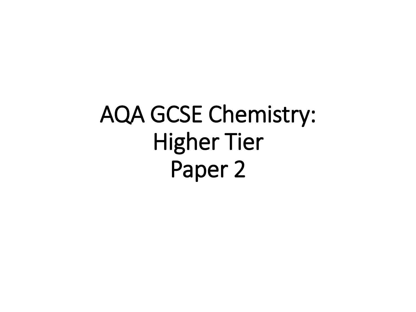## AQA GCSE Chemistry: Higher Tier Paper 2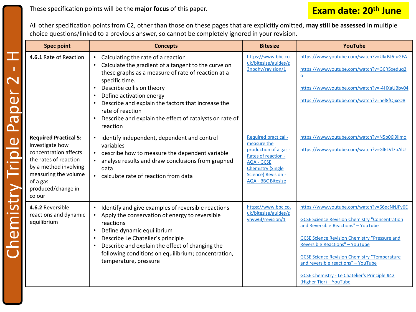All other specification points from C2, other than those on these pages that are explicitly omitted, **may still be assessed** in multiple choice questions/linked to a previous answer, so cannot be completely ignored in your revision.

| <b>Spec point</b>                                                                                                                                                                              | <b>Concepts</b>                                                                                                                                                                                                                                                                                                                                                                          | <b>Bitesize</b>                                                                                                                                                                          | YouTube                                                                                                                                                                                                                                                                                                                                                                                                                        |
|------------------------------------------------------------------------------------------------------------------------------------------------------------------------------------------------|------------------------------------------------------------------------------------------------------------------------------------------------------------------------------------------------------------------------------------------------------------------------------------------------------------------------------------------------------------------------------------------|------------------------------------------------------------------------------------------------------------------------------------------------------------------------------------------|--------------------------------------------------------------------------------------------------------------------------------------------------------------------------------------------------------------------------------------------------------------------------------------------------------------------------------------------------------------------------------------------------------------------------------|
| 4.6.1 Rate of Reaction                                                                                                                                                                         | Calculating the rate of a reaction<br>$\bullet$<br>Calculate the gradient of a tangent to the curve on<br>these graphs as a measure of rate of reaction at a<br>specific time.<br>Describe collision theory<br>Define activation energy<br>Describe and explain the factors that increase the<br>rate of reaction<br>Describe and explain the effect of catalysts on rate of<br>reaction | https://www.bbc.co.<br>uk/bitesize/guides/z<br>3nbqhv/revision/1                                                                                                                         | https://www.youtube.com/watch?v=UkrBJ6-uGFA<br>https://www.youtube.com/watch?v=GCR5xeduq2<br>$\mathbf 0$<br>https://www.youtube.com/watch?v=-4HXaUBbv04<br>https://www.youtube.com/watch?v=hel8fQjxcO8                                                                                                                                                                                                                         |
| <b>Required Practical 5:</b><br>investigate how<br>concentration affects<br>the rates of reaction<br>by a method involving<br>measuring the volume<br>of a gas<br>produced/change in<br>colour | identify independent, dependent and control<br>variables<br>describe how to measure the dependent variable<br>analyse results and draw conclusions from graphed<br>data<br>• calculate rate of reaction from data                                                                                                                                                                        | Required practical -<br>measure the<br>production of a gas -<br>Rates of reaction -<br><b>AQA - GCSE</b><br><b>Chemistry (Single</b><br>Science) Revision -<br><b>AQA - BBC Bitesize</b> | https://www.youtube.com/watch?v=N5p06i9ilmo<br>https://www.youtube.com/watch?v=GI6LVI7oAIU                                                                                                                                                                                                                                                                                                                                     |
| 4.6.2 Reversible<br>reactions and dynamic<br>equilibrium                                                                                                                                       | Identify and give examples of reversible reactions<br>Apply the conservation of energy to reversible<br>reactions<br>Define dynamic equilibrium<br>Describe Le Chatelier's principle<br>Describe and explain the effect of changing the<br>following conditions on equilibrium; concentration,<br>temperature, pressure                                                                  | https://www.bbc.co.<br>uk/bitesize/guides/z<br>yhvw6f/revision/1                                                                                                                         | https://www.youtube.com/watch?v=66qcNNJFy6E<br><b>GCSE Science Revision Chemistry "Concentration</b><br>and Reversible Reactions" - YouTube<br><b>GCSE Science Revision Chemistry "Pressure and</b><br><b>Reversible Reactions" - YouTube</b><br><b>GCSE Science Revision Chemistry "Temperature</b><br>and reversible reactions" - YouTube<br><b>GCSE Chemistry - Le Chatelier's Principle #42</b><br>(Higher Tier) - YouTube |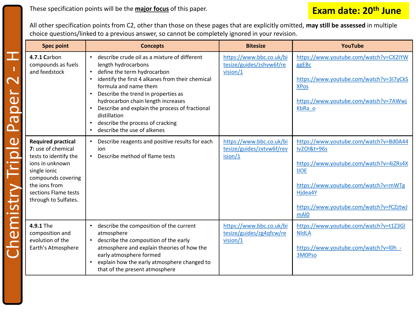These specification points will be the **major focus** of this paper.

#### **Exam date: 20th June**

All other specification points from C2, other than those on these pages that are explicitly omitted, **may still be assessed** in multiple choice questions/linked to a previous answer, so cannot be completely ignored in your revision.

|                                                                                                                     | <b>Spec point</b>                                                                                                                                                                                  | <b>Concepts</b>                                                                                                                                                                                                                                                                                                                                                                                                                                                                 | <b>Bitesize</b>                                                  | YouTube                                                                                                                                                                                                                          |
|---------------------------------------------------------------------------------------------------------------------|----------------------------------------------------------------------------------------------------------------------------------------------------------------------------------------------------|---------------------------------------------------------------------------------------------------------------------------------------------------------------------------------------------------------------------------------------------------------------------------------------------------------------------------------------------------------------------------------------------------------------------------------------------------------------------------------|------------------------------------------------------------------|----------------------------------------------------------------------------------------------------------------------------------------------------------------------------------------------------------------------------------|
| $\mathbb{R}^{\mathbb{Z}}$<br>Der<br>$\overline{\overline{\overline{\overline{\overline{C}}}}}$<br>$\mathbf{\Omega}$ | 4.7.1 Carbon<br>compounds as fuels<br>and feedstock                                                                                                                                                | describe crude oil as a mixture of different<br>$\bullet$<br>length hydrocarbons<br>define the term hydrocarbon<br>$\bullet$<br>identify the first 4 alkanes from their chemical<br>$\bullet$<br>formula and name them<br>Describe the trend in properties as<br>hydrocarbon chain length increases<br>Describe and explain the process of fractional<br>$\bullet$<br>distillation<br>describe the process of cracking<br>$\bullet$<br>describe the use of alkenes<br>$\bullet$ | https://www.bbc.co.uk/bi<br>tesize/guides/zshvw6f/re<br>vision/1 | https://www.youtube.com/watch?v=CX2IYW<br>ggEBc<br>https://www.youtube.com/watch?v=3I7yCkS<br><b>XPos</b><br>https://www.youtube.com/watch?v=7AWwj<br>KbRa o                                                                     |
| hemistry Triple                                                                                                     | <b>Required practical</b><br>7: use of chemical<br>tests to identify the<br>ions in unknown<br>single ionic<br>compounds covering<br>the ions from<br>sections Flame tests<br>through to Sulfates. | Describe reagents and positive results for each<br>ion<br>Describe method of flame tests<br>$\bullet$                                                                                                                                                                                                                                                                                                                                                                           | https://www.bbc.co.uk/bi<br>tesize/guides/zxtvw6f/rev<br>ision/1 | https://www.youtube.com/watch?v=Bd0A44<br><b>Iv2OI&amp;t=96s</b><br>https://www.youtube.com/watch?v=4iZRs4X<br><b>IJOE</b><br>https://www.youtube.com/watch?v=mWTg<br>Hjdea4Y<br>https://www.youtube.com/watch?v=fCZztwJ<br>mAI0 |
|                                                                                                                     | 4.9.1 The<br>composition and<br>evolution of the<br>Earth's Atmosphere                                                                                                                             | describe the composition of the current<br>$\bullet$<br>atmosphere<br>describe the composition of the early<br>$\bullet$<br>atmosphere and explain theories of how the<br>early atmosphere formed<br>explain how the early atmosphere changed to<br>that of the present atmosphere                                                                                                                                                                                              | https://www.bbc.co.uk/bi<br>tesize/guides/zg4qfcw/re<br>vision/1 | https://www.youtube.com/watch?v=t1Z3Gl<br><b>NIdLA</b><br>https://www.youtube.com/watch?v=l0h -<br>3M0Pso                                                                                                                        |